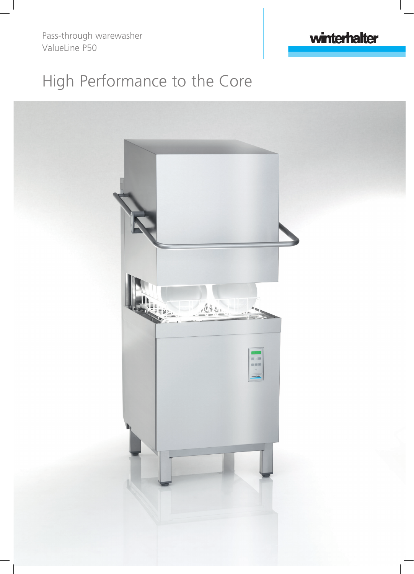Pass-through warewasher ValueLine P50

## winterhalter

## High Performance to the Core

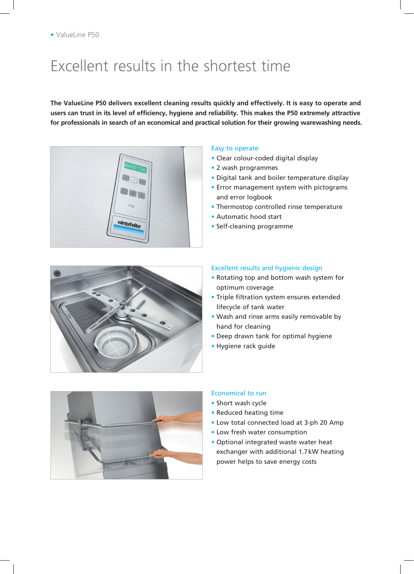## Excellent results in the shortest time

**The ValueLine P50 delivers excellent cleaning results quickly and effectively. It is easy to operate and users can trust in its level of efficiency, hygiene and reliability. This makes the P50 extremely attractive for professionals in search of an economical and practical solution for their growing warewashing needs.**



#### Easy to operate

- Clear colour-coded digital display
- 2 wash programmes
- Digital tank and boiler temperature display
- Error management system with pictograms and error logbook
- Thermostop controlled rinse temperature
- Automatic hood start
- Self-cleaning programme



#### Excellent results and hygienic design

- Rotating top and bottom wash system for optimum coverage
- Triple filtration system ensures extended lifecycle of tank water
- Wash and rinse arms easily removable by hand for cleaning
- Deep drawn tank for optimal hygiene
- Hygiene rack guide



#### Economical to run

- Short wash cycle
- Reduced heating time
- Low total connected load at 3-ph 20 Amp
- Low fresh water consumption
- Optional integrated waste water heat exchanger with additional 1.7kW heating power helps to save energy costs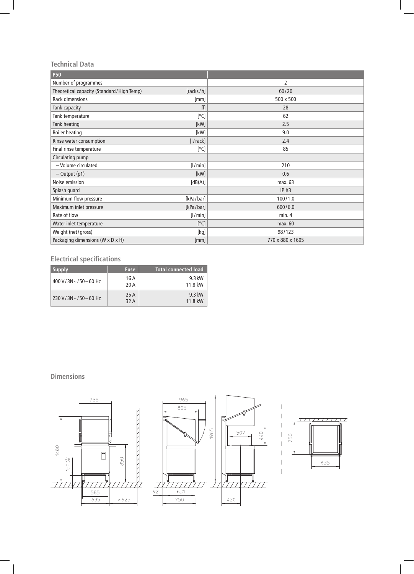#### **Technical Data**

| <b>P50</b>                                |                                                                                                                                                                                                                                                              |                  |
|-------------------------------------------|--------------------------------------------------------------------------------------------------------------------------------------------------------------------------------------------------------------------------------------------------------------|------------------|
| Number of programmes                      |                                                                                                                                                                                                                                                              | $\overline{2}$   |
| Theoretical capacity (Standard/High Temp) | [racks/h]                                                                                                                                                                                                                                                    | 60/20            |
| Rack dimensions                           | [mm]                                                                                                                                                                                                                                                         | 500 x 500        |
| Tank capacity                             | $[ ] % \begin{center} % \includegraphics[width=\linewidth]{imagesSupplemental_3.png} % \end{center} % \caption { % Our method is used for the method. % Our method is used for the method. % The method is used for the method. % } % \label{fig:example} %$ | 28               |
| Tank temperature                          | [°C]                                                                                                                                                                                                                                                         | 62               |
| Tank heating                              | [kW]                                                                                                                                                                                                                                                         | 2.5              |
| <b>Boiler heating</b>                     | [kW]                                                                                                                                                                                                                                                         | 9.0              |
| Rinse water consumption                   | [ /rack]                                                                                                                                                                                                                                                     | 2.4              |
| Final rinse temperature                   | [°C]                                                                                                                                                                                                                                                         | 85               |
| Circulating pump                          |                                                                                                                                                                                                                                                              |                  |
| - Volume circulated                       | [1/min]                                                                                                                                                                                                                                                      | 210              |
| $-$ Output (p1)                           | [kW]                                                                                                                                                                                                                                                         | 0.6              |
| Noise emission                            | [dB(A)]                                                                                                                                                                                                                                                      | max. 63          |
| Splash guard                              |                                                                                                                                                                                                                                                              | IP X3            |
| Minimum flow pressure                     | [kPa/bar]                                                                                                                                                                                                                                                    | 100/1.0          |
| Maximum inlet pressure                    | [kPa/bar]                                                                                                                                                                                                                                                    | 600/6.0          |
| Rate of flow                              | [1/min]                                                                                                                                                                                                                                                      | min.4            |
| Water inlet temperature                   | [°C]                                                                                                                                                                                                                                                         | max. 60          |
| Weight (net/gross)                        | $[kg]$                                                                                                                                                                                                                                                       | 98/123           |
| Packaging dimensions (W x D x H)          | [mm]                                                                                                                                                                                                                                                         | 770 x 880 x 1605 |

### **Electrical specifications**

| <b>Supply</b>               | <b>Fuse</b>  | <b>Total connected load</b> |
|-----------------------------|--------------|-----------------------------|
| $400 V/3N \sim 750 - 60 Hz$ | 16 A<br>20 A | 9.3 kW<br>11.8 kW           |
| $230 V/3N \sim 750 - 60 Hz$ | 25 A<br>32 A | $9.3$ kW<br>11.8 kW         |

#### **Dimensions**